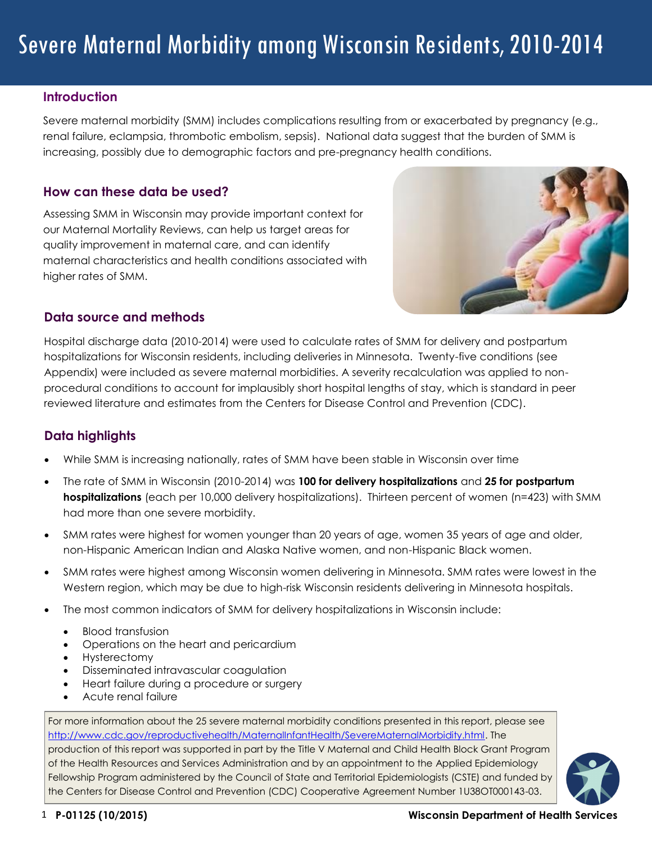#### **Introduction**

Severe maternal morbidity (SMM) includes complications resulting from or exacerbated by pregnancy (e.g., renal failure, eclampsia, thrombotic embolism, sepsis). National data suggest that the burden of SMM is increasing, possibly due to demographic factors and pre-pregnancy health conditions.

#### **How can these data be used?**

Assessing SMM in Wisconsin may provide important context for our Maternal Mortality Reviews, can help us target areas for quality improvement in maternal care, and can identify maternal characteristics and health conditions associated with higher rates of SMM.



### **Data source and methods**

Hospital discharge data (2010-2014) were used to calculate rates of SMM for delivery and postpartum hospitalizations for Wisconsin residents, including deliveries in Minnesota. Twenty-five conditions (see Appendix) were included as severe maternal morbidities. A severity recalculation was applied to nonprocedural conditions to account for implausibly short hospital lengths of stay, which is standard in peer reviewed literature and estimates from the Centers for Disease Control and Prevention (CDC).

# **Data highlights**

- While SMM is increasing nationally, rates of SMM have been stable in Wisconsin over time
- The rate of SMM in Wisconsin (2010-2014) was **100 for delivery hospitalizations** and **25 for postpartum hospitalizations** (each per 10,000 delivery hospitalizations). Thirteen percent of women (n=423) with SMM had more than one severe morbidity.
- SMM rates were highest for women younger than 20 years of age, women 35 years of age and older, non-Hispanic American Indian and Alaska Native women, and non-Hispanic Black women.
- SMM rates were highest among Wisconsin women delivering in Minnesota. SMM rates were lowest in the Western region, which may be due to high-risk Wisconsin residents delivering in Minnesota hospitals.
- The most common indicators of SMM for delivery hospitalizations in Wisconsin include:
	- Blood transfusion
	- Operations on the heart and pericardium
	- Hysterectomy
	- Disseminated intravascular coagulation
	- Heart failure during a procedure or surgery
	- Acute renal failure

For more information about the 25 severe maternal morbidity conditions presented in this report, please see [http://www.cdc.gov/reproductivehealth/MaternalInfantHealth/SevereMaternalMorbidity.html.](http://www.cdc.gov/reproductivehealth/MaternalInfantHealth/SevereMaternalMorbidity.html) The production of this report was supported in part by the Title V Maternal and Child Health Block Grant Program of the Health Resources and Services Administration and by an appointment to the Applied Epidemiology Fellowship Program administered by the Council of State and Territorial Epidemiologists (CSTE) and funded by the Centers for Disease Control and Prevention (CDC) Cooperative Agreement Number 1U38OT000143-03.

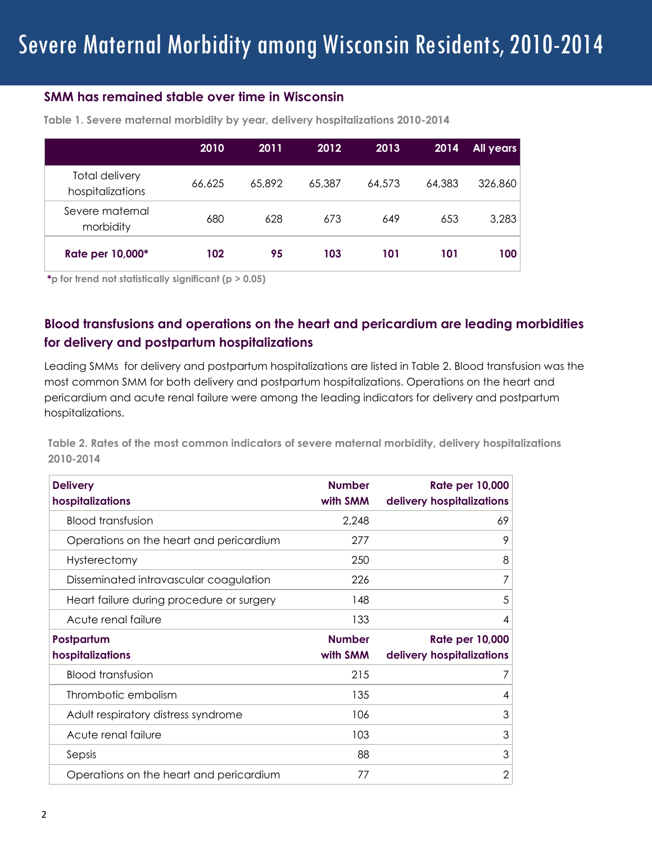## **SMM has remained stable over time in Wisconsin**

|                                           | 2010   | 2011   | 2012   | 2013   | 2014   | <b>All years</b> |
|-------------------------------------------|--------|--------|--------|--------|--------|------------------|
| <b>Total delivery</b><br>hospitalizations | 66,625 | 65,892 | 65,387 | 64,573 | 64,383 | 326,860          |
| Severe maternal<br>morbidity              | 680    | 628    | 673    | 649    | 653    | 3,283            |
| Rate per 10,000*                          | 102    | 95     | 103    | 101    | 101    | 100              |

**Table 1. Severe maternal morbidity by year, delivery hospitalizations 2010-2014**

**\*p for trend not statistically significant (p > 0.05)** 

# **Blood transfusions and operations on the heart and pericardium are leading morbidities for delivery and postpartum hospitalizations**

Leading SMMs for delivery and postpartum hospitalizations are listed in Table 2. Blood transfusion was the most common SMM for both delivery and postpartum hospitalizations. Operations on the heart and pericardium and acute renal failure were among the leading indicators for delivery and postpartum hospitalizations.

**Table 2. Rates of the most common indicators of severe maternal morbidity, delivery hospitalizations 2010-2014** 

| <b>Delivery</b><br>hospitalizations       | <b>Number</b><br>with SMM | <b>Rate per 10,000</b><br>delivery hospitalizations |
|-------------------------------------------|---------------------------|-----------------------------------------------------|
| <b>Blood transfusion</b>                  | 2,248                     | 69                                                  |
| Operations on the heart and pericardium   | 277                       | 9                                                   |
| Hysterectomy                              | 250                       | 8                                                   |
| Disseminated intravascular coagulation    | 226                       | 7                                                   |
| Heart failure during procedure or surgery | 148                       | 5                                                   |
| Acute renal failure                       | 133                       | 4                                                   |
| Postpartum                                | <b>Number</b>             | <b>Rate per 10,000</b>                              |
|                                           |                           |                                                     |
| hospitalizations                          | with SMM                  | delivery hospitalizations                           |
| <b>Blood transfusion</b>                  | 215                       | 7                                                   |
| Thrombotic embolism                       | 135                       | 4                                                   |
| Adult respiratory distress syndrome       | 106                       | 3                                                   |
| Acute renal failure                       | 103                       | 3                                                   |
| Sepsis                                    | 88                        | 3                                                   |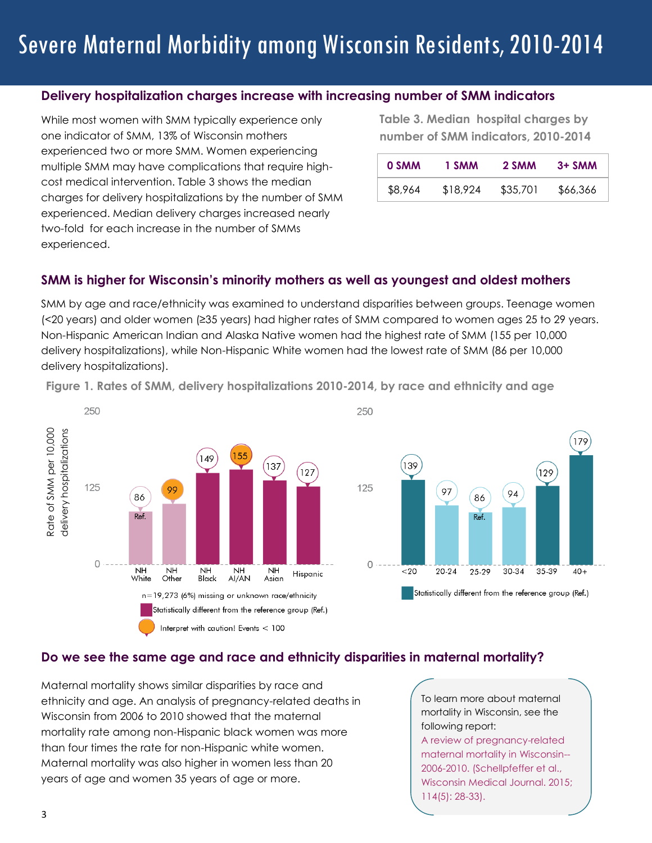#### **Delivery hospitalization charges increase with increasing number of SMM indicators**

While most women with SMM typically experience only one indicator of SMM, 13% of Wisconsin mothers experienced two or more SMM. Women experiencing multiple SMM may have complications that require highcost medical intervention. Table 3 shows the median charges for delivery hospitalizations by the number of SMM experienced. Median delivery charges increased nearly two-fold for each increase in the number of SMMs experienced.

**Table 3. Median hospital charges by number of SMM indicators, 2010-2014** 

| 0 SMM   | 1 SMM    | 2 SMM    | $3+$ SMM |
|---------|----------|----------|----------|
| \$8,964 | \$18,924 | \$35,701 | \$66,366 |

#### **SMM is higher for Wisconsin's minority mothers as well as youngest and oldest mothers**

SMM by age and race/ethnicity was examined to understand disparities between groups. Teenage women (<20 years) and older women (≥35 years) had higher rates of SMM compared to women ages 25 to 29 years. Non-Hispanic American Indian and Alaska Native women had the highest rate of SMM (155 per 10,000 delivery hospitalizations), while Non-Hispanic White women had the lowest rate of SMM (86 per 10,000 delivery hospitalizations).





#### **Do we see the same age and race and ethnicity disparities in maternal mortality?**

Maternal mortality shows similar disparities by race and ethnicity and age. An analysis of pregnancy-related deaths in Wisconsin from 2006 to 2010 showed that the maternal mortality rate among non-Hispanic black women was more than four times the rate for non-Hispanic white women. Maternal mortality was also higher in women less than 20 years of age and women 35 years of age or more.

To learn more about maternal mortality in Wisconsin, see the following report:

A review of pregnancy-related maternal mortality in Wisconsin-- 2006-2010. (Schellpfeffer et al., Wisconsin Medical Journal. 2015; 114(5): 28-33).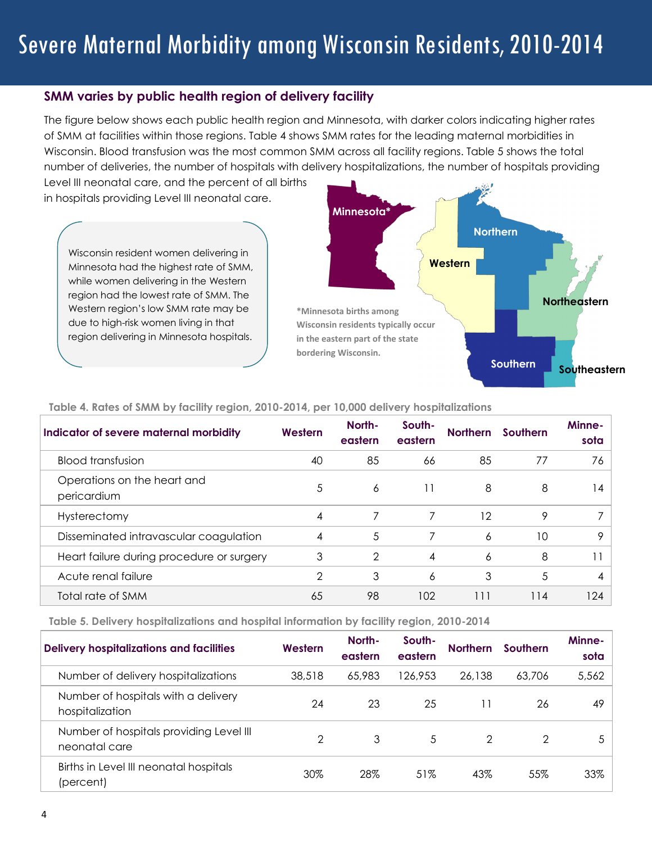#### **SMM varies by public health region of delivery facility**

The figure below shows each public health region and Minnesota, with darker colors indicating higher rates of SMM at facilities within those regions. Table 4 shows SMM rates for the leading maternal morbidities in Wisconsin. Blood transfusion was the most common SMM across all facility regions. Table 5 shows the total number of deliveries, the number of hospitals with delivery hospitalizations, the number of hospitals providing

Level III neonatal care, and the percent of all births in hospitals providing Level III neonatal care.

Wisconsin resident women delivering in Minnesota had the highest rate of SMM, while women delivering in the Western region had the lowest rate of SMM. The Western region's low SMM rate may be due to high-risk women living in that region delivering in Minnesota hospitals.



| Indicator of severe maternal morbidity     | Western | North-<br>eastern | South-<br>eastern | <b>Northern</b> | Southern | Minne-<br>sota |
|--------------------------------------------|---------|-------------------|-------------------|-----------------|----------|----------------|
| <b>Blood transfusion</b>                   | 40      | 85                | 66                | 85              | 77       | 76             |
| Operations on the heart and<br>pericardium | 5       | 6                 | 11                | 8               | 8        | l 4            |
| Hysterectomy                               | 4       | 7                 | 7                 | 12              | 9        |                |
| Disseminated intravascular coagulation     | 4       | 5                 |                   | 6               | 10       | 9              |
| Heart failure during procedure or surgery  | 3       | 2                 | 4                 | 6               | 8        |                |
| Acute renal failure                        | 2       | 3                 | 6                 | 3               | 5        | 4              |
| Total rate of SMM                          | 65      | 98                | 102               | 111             | 114      | 124            |

#### **Table 4. Rates of SMM by facility region, 2010-2014, per 10,000 delivery hospitalizations**

**Table 5. Delivery hospitalizations and hospital information by facility region, 2010-2014**

| <b>Delivery hospitalizations and facilities</b>          | Western | North-<br>eastern | South-<br>eastern | <b>Northern</b> | Southern | Minne-<br>sota |
|----------------------------------------------------------|---------|-------------------|-------------------|-----------------|----------|----------------|
| Number of delivery hospitalizations                      | 38,518  | 65,983            | 126,953           | 26,138          | 63,706   | 5,562          |
| Number of hospitals with a delivery<br>hospitalization   | 24      | 23                | 25                |                 | 26       | 49             |
| Number of hospitals providing Level III<br>neonatal care | 2       | 3                 | 5                 | 2               | 2        |                |
| Births in Level III neonatal hospitals<br>(percent)      | 30%     | 28%               | 51%               | 43%             | 55%      | 33%            |